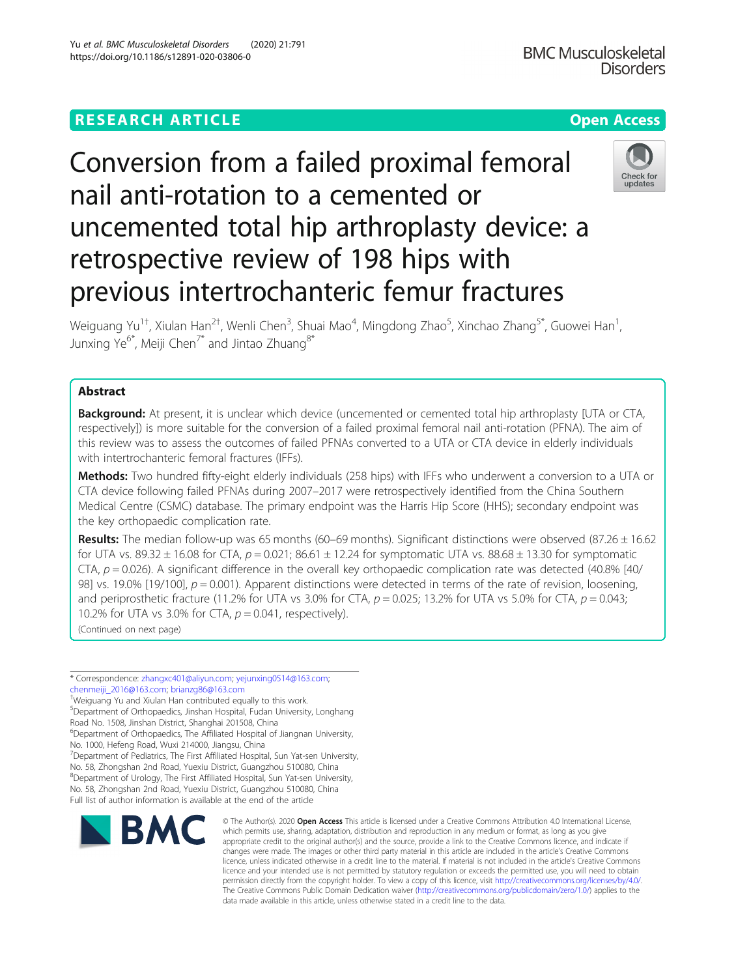## **RESEARCH ARTICLE Example 2014 12:30 The Contract of Contract ACCESS**

# Conversion from a failed proximal femoral nail anti-rotation to a cemented or uncemented total hip arthroplasty device: a retrospective review of 198 hips with previous intertrochanteric femur fractures

Weiguang Yu $^{1\dagger}$ , Xiulan Han $^{2\dagger}$ , Wenli Chen $^3$ , Shuai Mao $^4$ , Mingdong Zhao $^5$ , Xinchao Zhang $^{5*}$ , Guowei Han $^1$ , Junxing Ye<sup>6\*</sup>, Meiji Chen<sup>7\*</sup> and Jintao Zhuang<sup>8\*</sup>

### Abstract

**Background:** At present, it is unclear which device (uncemented or cemented total hip arthroplasty [UTA or CTA, respectively]) is more suitable for the conversion of a failed proximal femoral nail anti-rotation (PFNA). The aim of this review was to assess the outcomes of failed PFNAs converted to a UTA or CTA device in elderly individuals with intertrochanteric femoral fractures (IFFs).

Methods: Two hundred fifty-eight elderly individuals (258 hips) with IFFs who underwent a conversion to a UTA or CTA device following failed PFNAs during 2007–2017 were retrospectively identified from the China Southern Medical Centre (CSMC) database. The primary endpoint was the Harris Hip Score (HHS); secondary endpoint was the key orthopaedic complication rate.

Results: The median follow-up was 65 months (60–69 months). Significant distinctions were observed (87.26  $\pm$  16.62 for UTA vs. 89.32  $\pm$  16.08 for CTA,  $p = 0.021$ ; 86.61  $\pm$  12.24 for symptomatic UTA vs. 88.68  $\pm$  13.30 for symptomatic CTA,  $p = 0.026$ ). A significant difference in the overall key orthopaedic complication rate was detected (40.8% [40/ 98] vs. 19.0% [19/100],  $p = 0.001$ ). Apparent distinctions were detected in terms of the rate of revision, loosening, and periprosthetic fracture (11.2% for UTA vs 3.0% for CTA,  $p = 0.025$ ; 13.2% for UTA vs 5.0% for CTA,  $p = 0.043$ ; 10.2% for UTA vs 3.0% for CTA,  $p = 0.041$ , respectively). (Continued on next page)

\* Correspondence: [zhangxc401@aliyun.com;](mailto:zhangxc401@aliyun.com) [yejunxing0514@163.com;](mailto:yejunxing0514@163.com) [chenmeiji\\_2016@163.com;](mailto:chenmeiji_2016@163.com) [brianzg86@163.com](mailto:brianzg86@163.com) †

Weiguang Yu and Xiulan Han contributed equally to this work. 5 Department of Orthopaedics, Jinshan Hospital, Fudan University, Longhang

Road No. 1508, Jinshan District, Shanghai 201508, China

6 Department of Orthopaedics, The Affiliated Hospital of Jiangnan University,

No. 1000, Hefeng Road, Wuxi 214000, Jiangsu, China

<sup>7</sup>Department of Pediatrics, The First Affiliated Hospital, Sun Yat-sen University, No. 58, Zhongshan 2nd Road, Yuexiu District, Guangzhou 510080, China 8 Department of Urology, The First Affiliated Hospital, Sun Yat-sen University, No. 58, Zhongshan 2nd Road, Yuexiu District, Guangzhou 510080, China

Full list of author information is available at the end of the article



© The Author(s), 2020 **Open Access** This article is licensed under a Creative Commons Attribution 4.0 International License, which permits use, sharing, adaptation, distribution and reproduction in any medium or format, as long as you give appropriate credit to the original author(s) and the source, provide a link to the Creative Commons licence, and indicate if changes were made. The images or other third party material in this article are included in the article's Creative Commons licence, unless indicated otherwise in a credit line to the material. If material is not included in the article's Creative Commons licence and your intended use is not permitted by statutory regulation or exceeds the permitted use, you will need to obtain permission directly from the copyright holder. To view a copy of this licence, visit [http://creativecommons.org/licenses/by/4.0/.](http://creativecommons.org/licenses/by/4.0/) The Creative Commons Public Domain Dedication waiver [\(http://creativecommons.org/publicdomain/zero/1.0/](http://creativecommons.org/publicdomain/zero/1.0/)) applies to the data made available in this article, unless otherwise stated in a credit line to the data.



**BMC Musculoskeletal**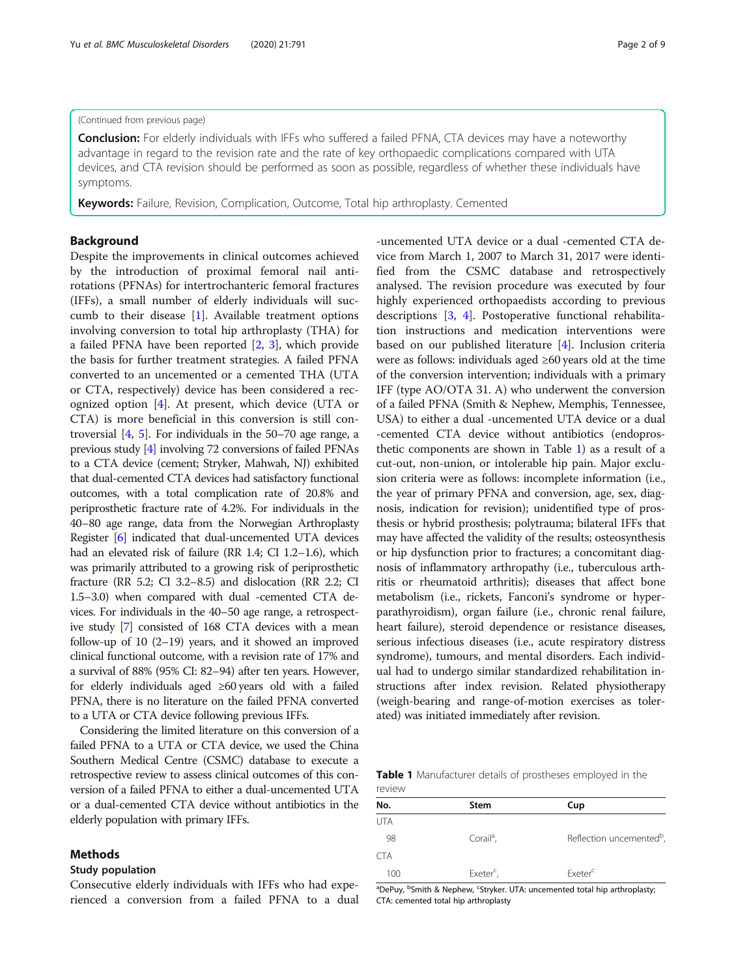#### (Continued from previous page)

Conclusion: For elderly individuals with IFFs who suffered a failed PFNA, CTA devices may have a noteworthy advantage in regard to the revision rate and the rate of key orthopaedic complications compared with UTA devices, and CTA revision should be performed as soon as possible, regardless of whether these individuals have symptoms.

Keywords: Failure, Revision, Complication, Outcome, Total hip arthroplasty. Cemented

#### Background

Despite the improvements in clinical outcomes achieved by the introduction of proximal femoral nail antirotations (PFNAs) for intertrochanteric femoral fractures (IFFs), a small number of elderly individuals will succumb to their disease [\[1\]](#page-7-0). Available treatment options involving conversion to total hip arthroplasty (THA) for a failed PFNA have been reported [[2,](#page-7-0) [3\]](#page-7-0), which provide the basis for further treatment strategies. A failed PFNA converted to an uncemented or a cemented THA (UTA or CTA, respectively) device has been considered a recognized option [[4](#page-7-0)]. At present, which device (UTA or CTA) is more beneficial in this conversion is still controversial [\[4](#page-7-0), [5](#page-7-0)]. For individuals in the 50–70 age range, a previous study [\[4\]](#page-7-0) involving 72 conversions of failed PFNAs to a CTA device (cement; Stryker, Mahwah, NJ) exhibited that dual-cemented CTA devices had satisfactory functional outcomes, with a total complication rate of 20.8% and periprosthetic fracture rate of 4.2%. For individuals in the 40–80 age range, data from the Norwegian Arthroplasty Register [\[6\]](#page-7-0) indicated that dual-uncemented UTA devices had an elevated risk of failure (RR 1.4; CI 1.2–1.6), which was primarily attributed to a growing risk of periprosthetic fracture (RR 5.2; CI 3.2–8.5) and dislocation (RR 2.2; CI 1.5–3.0) when compared with dual -cemented CTA devices. For individuals in the 40–50 age range, a retrospective study [\[7\]](#page-7-0) consisted of 168 CTA devices with a mean follow-up of 10 (2–19) years, and it showed an improved clinical functional outcome, with a revision rate of 17% and a survival of 88% (95% CI: 82–94) after ten years. However, for elderly individuals aged ≥60 years old with a failed PFNA, there is no literature on the failed PFNA converted to a UTA or CTA device following previous IFFs.

Considering the limited literature on this conversion of a failed PFNA to a UTA or CTA device, we used the China Southern Medical Centre (CSMC) database to execute a retrospective review to assess clinical outcomes of this conversion of a failed PFNA to either a dual-uncemented UTA or a dual-cemented CTA device without antibiotics in the elderly population with primary IFFs.

#### Methods

#### Study population

Consecutive elderly individuals with IFFs who had experienced a conversion from a failed PFNA to a dual

-uncemented UTA device or a dual -cemented CTA device from March 1, 2007 to March 31, 2017 were identified from the CSMC database and retrospectively analysed. The revision procedure was executed by four highly experienced orthopaedists according to previous descriptions [\[3](#page-7-0), [4\]](#page-7-0). Postoperative functional rehabilitation instructions and medication interventions were based on our published literature [[4](#page-7-0)]. Inclusion criteria were as follows: individuals aged ≥60 years old at the time of the conversion intervention; individuals with a primary IFF (type AO/OTA 31. A) who underwent the conversion of a failed PFNA (Smith & Nephew, Memphis, Tennessee, USA) to either a dual -uncemented UTA device or a dual -cemented CTA device without antibiotics (endoprosthetic components are shown in Table 1) as a result of a cut-out, non-union, or intolerable hip pain. Major exclusion criteria were as follows: incomplete information (i.e., the year of primary PFNA and conversion, age, sex, diagnosis, indication for revision); unidentified type of prosthesis or hybrid prosthesis; polytrauma; bilateral IFFs that may have affected the validity of the results; osteosynthesis or hip dysfunction prior to fractures; a concomitant diagnosis of inflammatory arthropathy (i.e., tuberculous arthritis or rheumatoid arthritis); diseases that affect bone metabolism (i.e., rickets, Fanconi's syndrome or hyperparathyroidism), organ failure (i.e., chronic renal failure, heart failure), steroid dependence or resistance diseases, serious infectious diseases (i.e., acute respiratory distress syndrome), tumours, and mental disorders. Each individual had to undergo similar standardized rehabilitation instructions after index revision. Related physiotherapy (weigh-bearing and range-of-motion exercises as tolerated) was initiated immediately after revision.

Table 1 Manufacturer details of prostheses employed in the review

| No. | Stem                  | Cup                                  |
|-----|-----------------------|--------------------------------------|
| UTA |                       |                                      |
| 98  | Corail <sup>a</sup> , | Reflection uncemented <sup>b</sup> , |
| CTA |                       |                                      |
| 100 | Exeter <sup>c</sup> , | Exeter <sup>c</sup>                  |

<sup>a</sup>DePuy, <sup>b</sup>Smith & Nephew, <sup>c</sup>Stryker. UTA: uncemented total hip arthroplasty; CTA: cemented total hip arthroplasty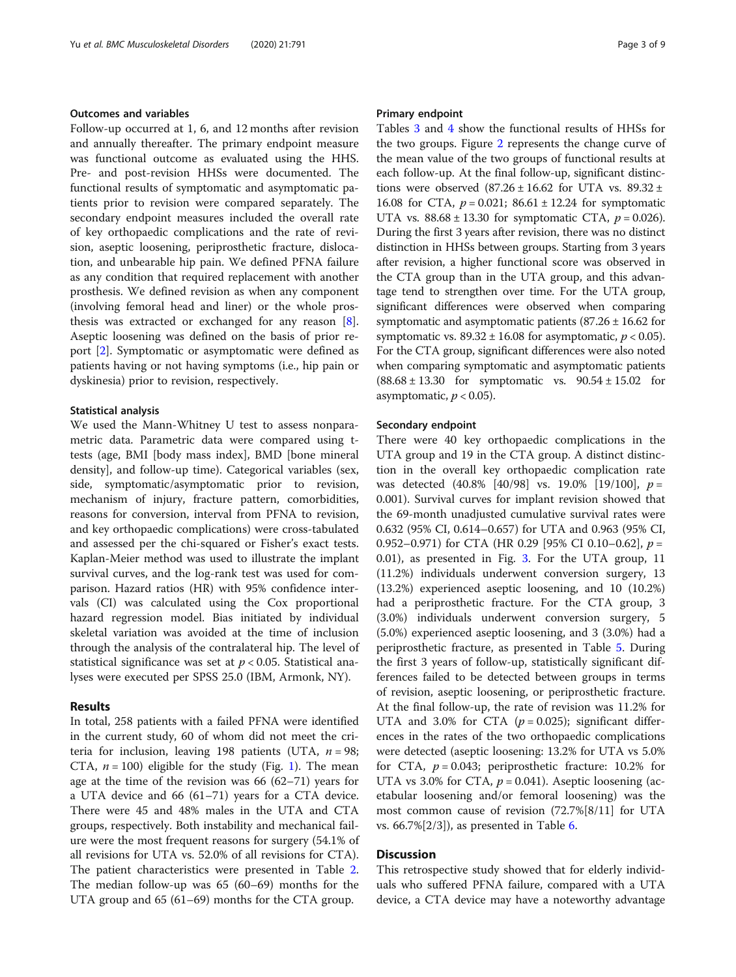#### Outcomes and variables

Follow-up occurred at 1, 6, and 12 months after revision and annually thereafter. The primary endpoint measure was functional outcome as evaluated using the HHS. Pre- and post-revision HHSs were documented. The functional results of symptomatic and asymptomatic patients prior to revision were compared separately. The secondary endpoint measures included the overall rate of key orthopaedic complications and the rate of revision, aseptic loosening, periprosthetic fracture, dislocation, and unbearable hip pain. We defined PFNA failure as any condition that required replacement with another prosthesis. We defined revision as when any component (involving femoral head and liner) or the whole prosthesis was extracted or exchanged for any reason [\[8](#page-7-0)]. Aseptic loosening was defined on the basis of prior report [[2\]](#page-7-0). Symptomatic or asymptomatic were defined as patients having or not having symptoms (i.e., hip pain or dyskinesia) prior to revision, respectively.

#### Statistical analysis

We used the Mann-Whitney U test to assess nonparametric data. Parametric data were compared using ttests (age, BMI [body mass index], BMD [bone mineral density], and follow-up time). Categorical variables (sex, side, symptomatic/asymptomatic prior to revision, mechanism of injury, fracture pattern, comorbidities, reasons for conversion, interval from PFNA to revision, and key orthopaedic complications) were cross-tabulated and assessed per the chi-squared or Fisher's exact tests. Kaplan-Meier method was used to illustrate the implant survival curves, and the log-rank test was used for comparison. Hazard ratios (HR) with 95% confidence intervals (CI) was calculated using the Cox proportional hazard regression model. Bias initiated by individual skeletal variation was avoided at the time of inclusion through the analysis of the contralateral hip. The level of statistical significance was set at  $p < 0.05$ . Statistical analyses were executed per SPSS 25.0 (IBM, Armonk, NY).

#### Results

In total, 258 patients with a failed PFNA were identified in the current study, 60 of whom did not meet the criteria for inclusion, leaving 198 patients (UTA,  $n = 98$ ; CTA,  $n = 100$  $n = 100$  $n = 100$ ) eligible for the study (Fig. 1). The mean age at the time of the revision was 66 (62–71) years for a UTA device and 66 (61–71) years for a CTA device. There were 45 and 48% males in the UTA and CTA groups, respectively. Both instability and mechanical failure were the most frequent reasons for surgery (54.1% of all revisions for UTA vs. 52.0% of all revisions for CTA). The patient characteristics were presented in Table [2](#page-4-0). The median follow-up was 65 (60–69) months for the UTA group and 65 (61–69) months for the CTA group.

#### Primary endpoint

Tables [3](#page-4-0) and [4](#page-5-0) show the functional results of HHSs for the two groups. Figure [2](#page-5-0) represents the change curve of the mean value of the two groups of functional results at each follow-up. At the final follow-up, significant distinctions were observed  $(87.26 \pm 16.62$  for UTA vs.  $89.32 \pm$ 16.08 for CTA,  $p = 0.021$ ; 86.61 ± 12.24 for symptomatic UTA vs.  $88.68 \pm 13.30$  for symptomatic CTA,  $p = 0.026$ ). During the first 3 years after revision, there was no distinct distinction in HHSs between groups. Starting from 3 years after revision, a higher functional score was observed in the CTA group than in the UTA group, and this advantage tend to strengthen over time. For the UTA group, significant differences were observed when comparing symptomatic and asymptomatic patients  $(87.26 \pm 16.62$  for symptomatic vs.  $89.32 \pm 16.08$  for asymptomatic,  $p < 0.05$ ). For the CTA group, significant differences were also noted when comparing symptomatic and asymptomatic patients  $(88.68 \pm 13.30)$  for symptomatic vs.  $90.54 \pm 15.02$  for asymptomatic,  $p < 0.05$ ).

#### Secondary endpoint

There were 40 key orthopaedic complications in the UTA group and 19 in the CTA group. A distinct distinction in the overall key orthopaedic complication rate was detected  $(40.8\% \, [40/98] \, \text{vs.} \, 19.0\% \, [19/100], \, p =$ 0.001). Survival curves for implant revision showed that the 69-month unadjusted cumulative survival rates were 0.632 (95% CI, 0.614–0.657) for UTA and 0.963 (95% CI, 0.952–0.971) for CTA (HR 0.29 [95% CI 0.10–0.62],  $p =$ 0.01), as presented in Fig. [3.](#page-6-0) For the UTA group, 11 (11.2%) individuals underwent conversion surgery, 13 (13.2%) experienced aseptic loosening, and 10 (10.2%) had a periprosthetic fracture. For the CTA group, 3 (3.0%) individuals underwent conversion surgery, 5 (5.0%) experienced aseptic loosening, and 3 (3.0%) had a periprosthetic fracture, as presented in Table [5.](#page-6-0) During the first 3 years of follow-up, statistically significant differences failed to be detected between groups in terms of revision, aseptic loosening, or periprosthetic fracture. At the final follow-up, the rate of revision was 11.2% for UTA and 3.0% for CTA ( $p = 0.025$ ); significant differences in the rates of the two orthopaedic complications were detected (aseptic loosening: 13.2% for UTA vs 5.0% for CTA,  $p = 0.043$ ; periprosthetic fracture: 10.2% for UTA vs 3.0% for CTA,  $p = 0.041$ ). Aseptic loosening (acetabular loosening and/or femoral loosening) was the most common cause of revision (72.7%[8/11] for UTA vs.  $66.7\%(2/3)$  $66.7\%(2/3)$ , as presented in Table 6.

#### Discussion

This retrospective study showed that for elderly individuals who suffered PFNA failure, compared with a UTA device, a CTA device may have a noteworthy advantage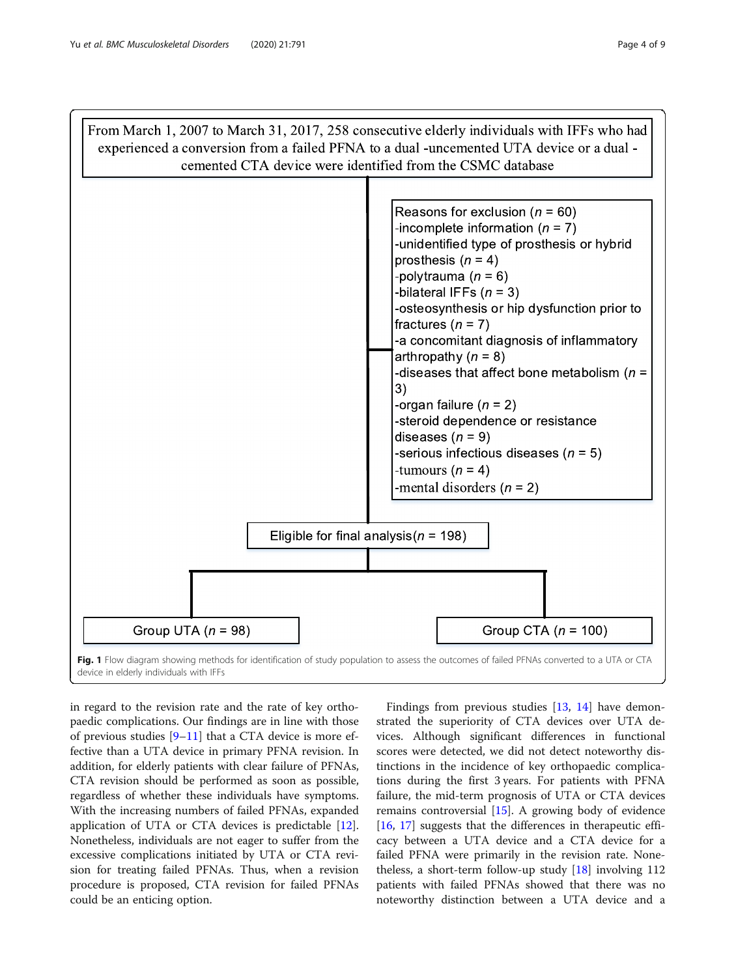<span id="page-3-0"></span>

in regard to the revision rate and the rate of key orthopaedic complications. Our findings are in line with those of previous studies [\[9](#page-7-0)–[11\]](#page-7-0) that a CTA device is more effective than a UTA device in primary PFNA revision. In addition, for elderly patients with clear failure of PFNAs, CTA revision should be performed as soon as possible, regardless of whether these individuals have symptoms. With the increasing numbers of failed PFNAs, expanded application of UTA or CTA devices is predictable [\[12](#page-7-0)]. Nonetheless, individuals are not eager to suffer from the excessive complications initiated by UTA or CTA revision for treating failed PFNAs. Thus, when a revision procedure is proposed, CTA revision for failed PFNAs could be an enticing option.

Findings from previous studies [\[13](#page-7-0), [14](#page-7-0)] have demonstrated the superiority of CTA devices over UTA devices. Although significant differences in functional scores were detected, we did not detect noteworthy distinctions in the incidence of key orthopaedic complications during the first 3 years. For patients with PFNA failure, the mid-term prognosis of UTA or CTA devices remains controversial [[15\]](#page-7-0). A growing body of evidence [[16,](#page-7-0) [17](#page-7-0)] suggests that the differences in therapeutic efficacy between a UTA device and a CTA device for a failed PFNA were primarily in the revision rate. Nonetheless, a short-term follow-up study [[18\]](#page-7-0) involving 112 patients with failed PFNAs showed that there was no noteworthy distinction between a UTA device and a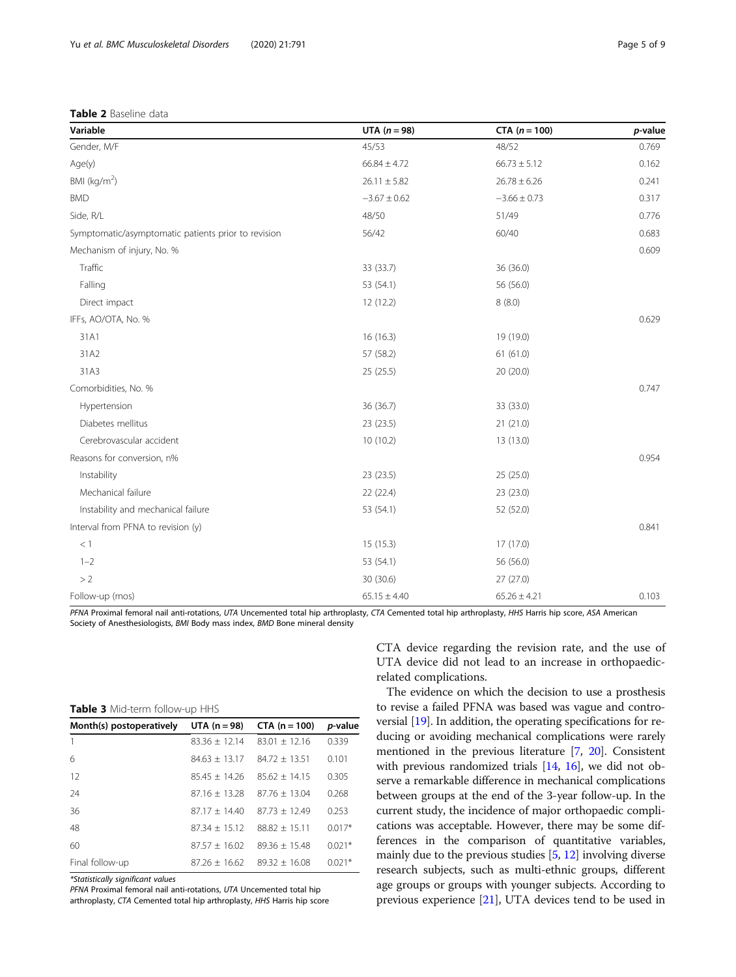<span id="page-4-0"></span>

|  |  |  | Table 2 Baseline data |  |
|--|--|--|-----------------------|--|
|--|--|--|-----------------------|--|

| Variable                                            | UTA $(n=98)$     | $CTA (n = 100)$  | p-value |
|-----------------------------------------------------|------------------|------------------|---------|
| Gender, M/F                                         | 45/53            | 48/52            | 0.769   |
| Age(y)                                              | $66.84 \pm 4.72$ | $66.73 \pm 5.12$ | 0.162   |
| BMI (kg/m <sup>2</sup> )                            | $26.11 \pm 5.82$ | $26.78 \pm 6.26$ | 0.241   |
| <b>BMD</b>                                          | $-3.67 \pm 0.62$ | $-3.66 \pm 0.73$ | 0.317   |
| Side, R/L                                           | 48/50            | 51/49            | 0.776   |
| Symptomatic/asymptomatic patients prior to revision | 56/42            | 60/40            | 0.683   |
| Mechanism of injury, No. %                          |                  |                  | 0.609   |
| Traffic                                             | 33 (33.7)        | 36 (36.0)        |         |
| Falling                                             | 53 (54.1)        | 56 (56.0)        |         |
| Direct impact                                       | 12 (12.2)        | 8(8.0)           |         |
| IFFs, AO/OTA, No. %                                 |                  |                  | 0.629   |
| 31A1                                                | 16(16.3)         | 19 (19.0)        |         |
| 31A2                                                | 57 (58.2)        | 61(61.0)         |         |
| 31A3                                                | 25 (25.5)        | 20 (20.0)        |         |
| Comorbidities, No. %                                |                  |                  | 0.747   |
| Hypertension                                        | 36 (36.7)        | 33 (33.0)        |         |
| Diabetes mellitus                                   | 23 (23.5)        | 21 (21.0)        |         |
| Cerebrovascular accident                            | 10(10.2)         | 13 (13.0)        |         |
| Reasons for conversion, n%                          |                  |                  | 0.954   |
| Instability                                         | 23 (23.5)        | 25 (25.0)        |         |
| Mechanical failure                                  | 22 (22.4)        | 23 (23.0)        |         |
| Instability and mechanical failure                  | 53 (54.1)        | 52 (52.0)        |         |
| Interval from PFNA to revision (y)                  |                  |                  | 0.841   |
| < 1                                                 | 15(15.3)         | 17(17.0)         |         |
| $1 - 2$                                             | 53 (54.1)        | 56 (56.0)        |         |
| >2                                                  | 30 (30.6)        | 27 (27.0)        |         |
| Follow-up (mos)                                     | $65.15 \pm 4.40$ | $65.26 \pm 4.21$ | 0.103   |

PFNA Proximal femoral nail anti-rotations, UTA Uncemented total hip arthroplasty, CTA Cemented total hip arthroplasty, HHS Harris hip score, ASA American Society of Anesthesiologists, BMI Body mass index, BMD Bone mineral density

|  |  | <b>Table 3</b> Mid-term follow-up HHS |  |
|--|--|---------------------------------------|--|
|--|--|---------------------------------------|--|

| Month(s) postoperatively | UTA $(n = 98)$  | $CTA (n = 100)$ | p-value  |
|--------------------------|-----------------|-----------------|----------|
|                          | $83.36 + 12.14$ | $83.01 + 12.16$ | 0.339    |
| 6                        | $84.63 + 13.17$ | $84.72 + 13.51$ | 0.101    |
| 12                       | $85.45 + 14.26$ | $85.62 + 14.15$ | 0.305    |
| 24                       | $87.16 + 13.28$ | $87.76 + 13.04$ | 0.268    |
| 36                       | $87.17 + 14.40$ | $87.73 + 12.49$ | 0.253    |
| 48                       | $87.34 + 15.12$ | $88.82 + 15.11$ | $0.017*$ |
| 60                       | $87.57 + 16.02$ | $89.36 + 15.48$ | $0.021*$ |
| Final follow-up          | $87.26 + 16.62$ | $89.32 + 16.08$ | $0.021*$ |

\*Statistically significant values

PFNA Proximal femoral nail anti-rotations, UTA Uncemented total hip

arthroplasty, CTA Cemented total hip arthroplasty, HHS Harris hip score

CTA device regarding the revision rate, and the use of UTA device did not lead to an increase in orthopaedicrelated complications.

The evidence on which the decision to use a prosthesis to revise a failed PFNA was based was vague and controversial [[19](#page-7-0)]. In addition, the operating specifications for reducing or avoiding mechanical complications were rarely mentioned in the previous literature [[7,](#page-7-0) [20](#page-7-0)]. Consistent with previous randomized trials [[14,](#page-7-0) [16](#page-7-0)], we did not observe a remarkable difference in mechanical complications between groups at the end of the 3-year follow-up. In the current study, the incidence of major orthopaedic complications was acceptable. However, there may be some differences in the comparison of quantitative variables, mainly due to the previous studies [[5,](#page-7-0) [12\]](#page-7-0) involving diverse research subjects, such as multi-ethnic groups, different age groups or groups with younger subjects. According to previous experience [[21](#page-7-0)], UTA devices tend to be used in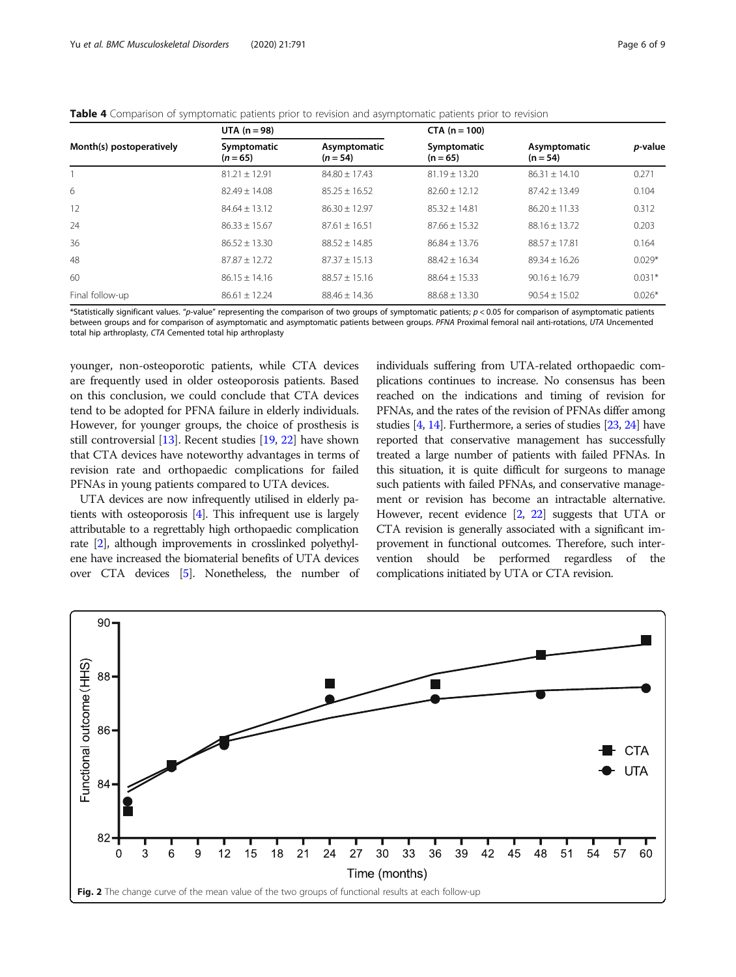<span id="page-5-0"></span>

|  |  | <b>Table 4</b> Comparison of symptomatic patients prior to revision and asymptomatic patients prior to revision |  |  |  |  |  |
|--|--|-----------------------------------------------------------------------------------------------------------------|--|--|--|--|--|
|  |  |                                                                                                                 |  |  |  |  |  |

|                          | UTA $(n = 98)$            |                            | $CTA (n = 100)$           |                            |                 |
|--------------------------|---------------------------|----------------------------|---------------------------|----------------------------|-----------------|
| Month(s) postoperatively | Symptomatic<br>$(n = 65)$ | Asymptomatic<br>$(n = 54)$ | Symptomatic<br>$(n = 65)$ | Asymptomatic<br>$(n = 54)$ | <i>p</i> -value |
|                          | $81.21 + 12.91$           | $84.80 + 17.43$            | $81.19 + 13.20$           | $86.31 + 14.10$            | 0.271           |
| 6                        | $82.49 + 14.08$           | $85.25 + 16.52$            | $82.60 + 12.12$           | $87.42 + 13.49$            | 0.104           |
| 12                       | $84.64 + 13.12$           | $86.30 + 12.97$            | $85.32 + 14.81$           | $86.20 + 11.33$            | 0.312           |
| 24                       | $86.33 + 15.67$           | $87.61 + 16.51$            | $87.66 + 15.32$           | $88.16 \pm 13.72$          | 0.203           |
| 36                       | $86.52 + 13.30$           | $88.52 + 14.85$            | $86.84 + 13.76$           | $88.57 + 17.81$            | 0.164           |
| 48                       | $87.87 + 12.72$           | $87.37 + 15.13$            | $88.42 + 16.34$           | $89.34 + 16.26$            | $0.029*$        |
| 60                       | $86.15 + 14.16$           | $88.57 + 15.16$            | $88.64 + 15.33$           | $90.16 + 16.79$            | $0.031*$        |
| Final follow-up          | $86.61 \pm 12.24$         | $88.46 + 14.36$            | $88.68 \pm 13.30$         | $90.54 + 15.02$            | $0.026*$        |

\*Statistically significant values. "p-value" representing the comparison of two groups of symptomatic patients; p < 0.05 for comparison of asymptomatic patients between groups and for comparison of asymptomatic and asymptomatic patients between groups. PFNA Proximal femoral nail anti-rotations, UTA Uncemented total hip arthroplasty, CTA Cemented total hip arthroplasty

younger, non-osteoporotic patients, while CTA devices are frequently used in older osteoporosis patients. Based on this conclusion, we could conclude that CTA devices tend to be adopted for PFNA failure in elderly individuals. However, for younger groups, the choice of prosthesis is still controversial [\[13](#page-7-0)]. Recent studies [\[19,](#page-7-0) [22](#page-7-0)] have shown that CTA devices have noteworthy advantages in terms of revision rate and orthopaedic complications for failed PFNAs in young patients compared to UTA devices.

UTA devices are now infrequently utilised in elderly patients with osteoporosis [[4](#page-7-0)]. This infrequent use is largely attributable to a regrettably high orthopaedic complication rate [[2\]](#page-7-0), although improvements in crosslinked polyethylene have increased the biomaterial benefits of UTA devices over CTA devices [\[5\]](#page-7-0). Nonetheless, the number of individuals suffering from UTA-related orthopaedic complications continues to increase. No consensus has been reached on the indications and timing of revision for PFNAs, and the rates of the revision of PFNAs differ among studies [\[4,](#page-7-0) [14\]](#page-7-0). Furthermore, a series of studies [[23,](#page-8-0) [24](#page-8-0)] have reported that conservative management has successfully treated a large number of patients with failed PFNAs. In this situation, it is quite difficult for surgeons to manage such patients with failed PFNAs, and conservative management or revision has become an intractable alternative. However, recent evidence [\[2,](#page-7-0) [22](#page-7-0)] suggests that UTA or CTA revision is generally associated with a significant improvement in functional outcomes. Therefore, such intervention should be performed regardless of the complications initiated by UTA or CTA revision.

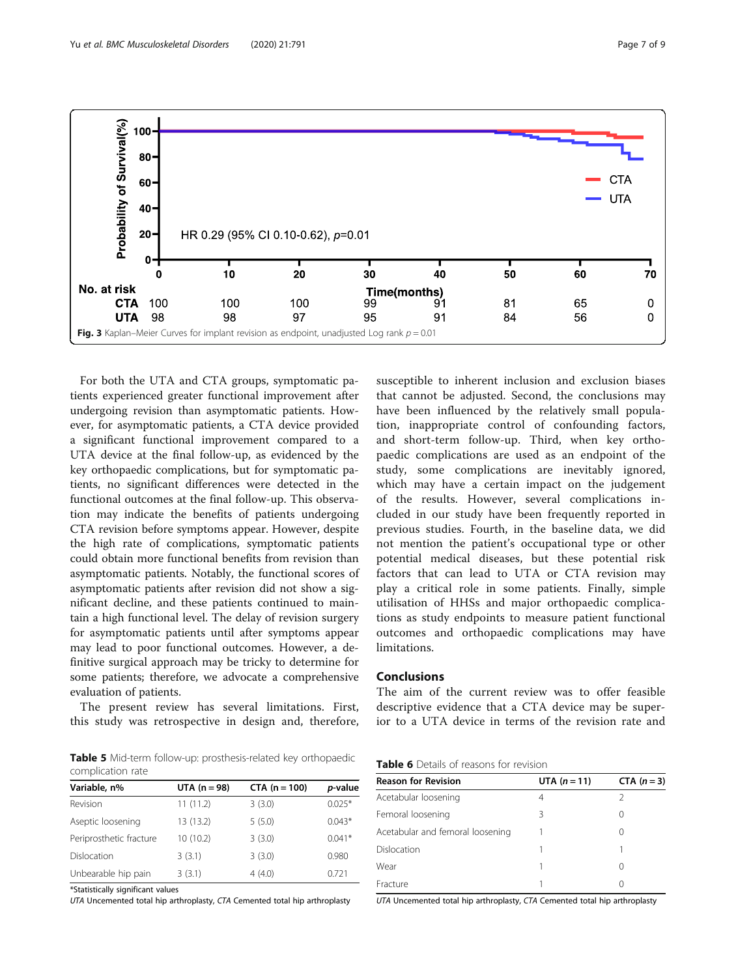For both the UTA and CTA groups, symptomatic patients experienced greater functional improvement after undergoing revision than asymptomatic patients. However, for asymptomatic patients, a CTA device provided a significant functional improvement compared to a UTA device at the final follow-up, as evidenced by the key orthopaedic complications, but for symptomatic patients, no significant differences were detected in the functional outcomes at the final follow-up. This observation may indicate the benefits of patients undergoing CTA revision before symptoms appear. However, despite the high rate of complications, symptomatic patients could obtain more functional benefits from revision than asymptomatic patients. Notably, the functional scores of asymptomatic patients after revision did not show a significant decline, and these patients continued to maintain a high functional level. The delay of revision surgery for asymptomatic patients until after symptoms appear may lead to poor functional outcomes. However, a definitive surgical approach may be tricky to determine for some patients; therefore, we advocate a comprehensive evaluation of patients.

The present review has several limitations. First,

complication rate

| Variable, n%            | $UTA (n = 98)$ | $CTA (n = 100)$ | p-value  |
|-------------------------|----------------|-----------------|----------|
| Revision                | 11(11.2)       | 3(3.0)          | $0.025*$ |
| Aseptic loosening       | 13 (13.2)      | 5(5.0)          | $0.043*$ |
| Periprosthetic fracture | 10 (10.2)      | 3(3.0)          | $0.041*$ |
| Dislocation             | 3(3.1)         | 3(3.0)          | 0.980    |
| Unbearable hip pain     | 3(3.1)         | 4(4.0)          | 0.721    |

\*Statistically significant values

UTA Uncemented total hip arthroplasty, CTA Cemented total hip arthroplasty

susceptible to inherent inclusion and exclusion biases that cannot be adjusted. Second, the conclusions may have been influenced by the relatively small population, inappropriate control of confounding factors, and short-term follow-up. Third, when key orthopaedic complications are used as an endpoint of the study, some complications are inevitably ignored, which may have a certain impact on the judgement of the results. However, several complications included in our study have been frequently reported in previous studies. Fourth, in the baseline data, we did not mention the patient's occupational type or other potential medical diseases, but these potential risk factors that can lead to UTA or CTA revision may play a critical role in some patients. Finally, simple utilisation of HHSs and major orthopaedic complications as study endpoints to measure patient functional outcomes and orthopaedic complications may have limitations.

#### Conclusions

The aim of the current review was to offer feasible descriptive evidence that a CTA device may be superior to a UTA device in terms of the revision rate and

| <b>Table 6</b> Details of reasons for revision |
|------------------------------------------------|
|------------------------------------------------|

| UTA $(n = 11)$ |             |  |  |
|----------------|-------------|--|--|
|                | CTA $(n=3)$ |  |  |
| 4              |             |  |  |
| 3              |             |  |  |
|                |             |  |  |
|                |             |  |  |
|                |             |  |  |
|                |             |  |  |
|                |             |  |  |

UTA Uncemented total hip arthroplasty, CTA Cemented total hip arthroplasty

this study was retrospective in design and, therefore, Table 5 Mid-term follow-up: prosthesis-related key orthopaedic

<span id="page-6-0"></span>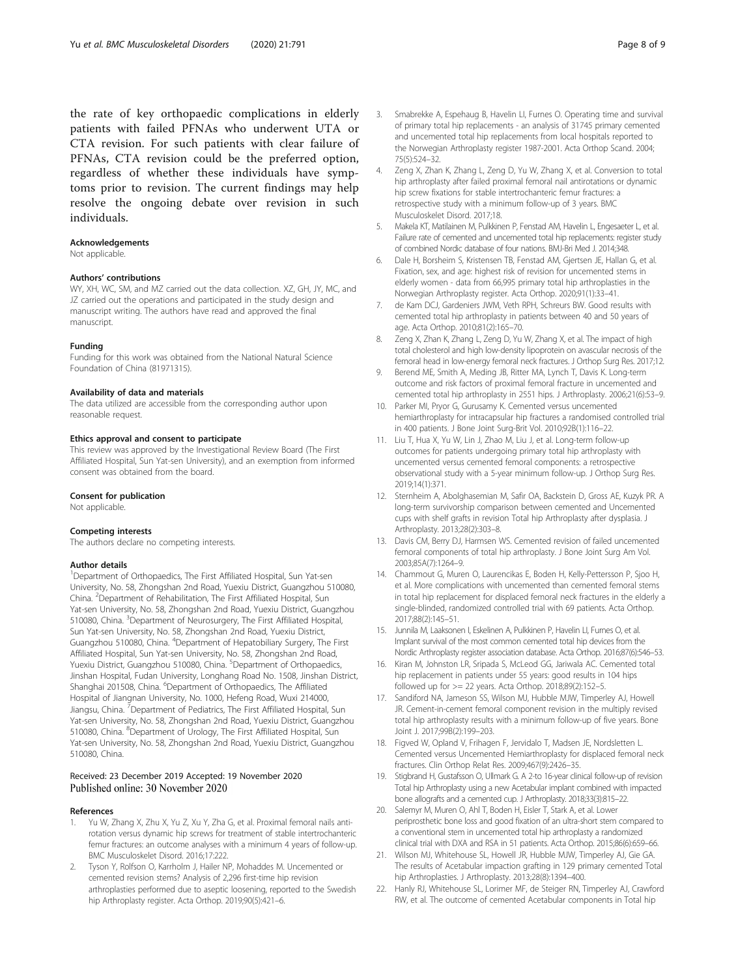<span id="page-7-0"></span>the rate of key orthopaedic complications in elderly patients with failed PFNAs who underwent UTA or CTA revision. For such patients with clear failure of PFNAs, CTA revision could be the preferred option, regardless of whether these individuals have symptoms prior to revision. The current findings may help resolve the ongoing debate over revision in such individuals.

#### Acknowledgements

Not applicable.

#### Authors' contributions

WY, XH, WC, SM, and MZ carried out the data collection. XZ, GH, JY, MC, and JZ carried out the operations and participated in the study design and manuscript writing. The authors have read and approved the final manuscript.

#### Funding

Funding for this work was obtained from the National Natural Science Foundation of China (81971315).

#### Availability of data and materials

The data utilized are accessible from the corresponding author upon reasonable request.

#### Ethics approval and consent to participate

This review was approved by the Investigational Review Board (The First Affiliated Hospital, Sun Yat-sen University), and an exemption from informed consent was obtained from the board.

#### Consent for publication

Not applicable.

#### Competing interests

The authors declare no competing interests.

#### Author details

<sup>1</sup>Department of Orthopaedics, The First Affiliated Hospital, Sun Yat-sen University, No. 58, Zhongshan 2nd Road, Yuexiu District, Guangzhou 510080, China. <sup>2</sup> Department of Rehabilitation, The First Affiliated Hospital, Sun Yat-sen University, No. 58, Zhongshan 2nd Road, Yuexiu District, Guangzhou 510080, China. <sup>3</sup>Department of Neurosurgery, The First Affiliated Hospital, Sun Yat-sen University, No. 58, Zhongshan 2nd Road, Yuexiu District, Guangzhou 510080, China. <sup>4</sup>Department of Hepatobiliary Surgery, The First Affiliated Hospital, Sun Yat-sen University, No. 58, Zhongshan 2nd Road, Yuexiu District, Guangzhou 510080, China. <sup>5</sup>Department of Orthopaedics, Jinshan Hospital, Fudan University, Longhang Road No. 1508, Jinshan District, Shanghai 201508, China. <sup>6</sup>Department of Orthopaedics, The Affiliated Hospital of Jiangnan University, No. 1000, Hefeng Road, Wuxi 214000, Jiangsu, China. <sup>7</sup>Department of Pediatrics, The First Affiliated Hospital, Sun Yat-sen University, No. 58, Zhongshan 2nd Road, Yuexiu District, Guangzhou 510080, China. <sup>8</sup>Department of Urology, The First Affiliated Hospital, Sun Yat-sen University, No. 58, Zhongshan 2nd Road, Yuexiu District, Guangzhou 510080, China.

#### Received: 23 December 2019 Accepted: 19 November 2020 Published online: 30 November 2020

#### References

- 1. Yu W, Zhang X, Zhu X, Yu Z, Xu Y, Zha G, et al. Proximal femoral nails antirotation versus dynamic hip screws for treatment of stable intertrochanteric femur fractures: an outcome analyses with a minimum 4 years of follow-up. BMC Musculoskelet Disord. 2016;17:222.
- 2. Tyson Y, Rolfson O, Karrholm J, Hailer NP, Mohaddes M. Uncemented or cemented revision stems? Analysis of 2,296 first-time hip revision arthroplasties performed due to aseptic loosening, reported to the Swedish hip Arthroplasty register. Acta Orthop. 2019;90(5):421–6.
- 4. Zeng X, Zhan K, Zhang L, Zeng D, Yu W, Zhang X, et al. Conversion to total hip arthroplasty after failed proximal femoral nail antirotations or dynamic hip screw fixations for stable intertrochanteric femur fractures: a retrospective study with a minimum follow-up of 3 years. BMC Musculoskelet Disord. 2017;18.
- 5. Makela KT, Matilainen M, Pulkkinen P, Fenstad AM, Havelin L, Engesaeter L, et al. Failure rate of cemented and uncemented total hip replacements: register study of combined Nordic database of four nations. BMJ-Bri Med J. 2014;348.
- 6. Dale H, Borsheim S, Kristensen TB, Fenstad AM, Gjertsen JE, Hallan G, et al. Fixation, sex, and age: highest risk of revision for uncemented stems in elderly women - data from 66,995 primary total hip arthroplasties in the Norwegian Arthroplasty register. Acta Orthop. 2020;91(1):33–41.
- 7. de Kam DCJ, Gardeniers JWM, Veth RPH, Schreurs BW. Good results with cemented total hip arthroplasty in patients between 40 and 50 years of age. Acta Orthop. 2010;81(2):165–70.
- 8. Zeng X, Zhan K, Zhang L, Zeng D, Yu W, Zhang X, et al. The impact of high total cholesterol and high low-density lipoprotein on avascular necrosis of the femoral head in low-energy femoral neck fractures. J Orthop Surg Res. 2017;12.
- 9. Berend ME, Smith A, Meding JB, Ritter MA, Lynch T, Davis K. Long-term outcome and risk factors of proximal femoral fracture in uncemented and cemented total hip arthroplasty in 2551 hips. J Arthroplasty. 2006;21(6):53–9.
- 10. Parker MI, Pryor G, Gurusamy K. Cemented versus uncemented hemiarthroplasty for intracapsular hip fractures a randomised controlled trial in 400 patients. J Bone Joint Surg-Brit Vol. 2010;92B(1):116–22.
- 11. Liu T, Hua X, Yu W, Lin J, Zhao M, Liu J, et al. Long-term follow-up outcomes for patients undergoing primary total hip arthroplasty with uncemented versus cemented femoral components: a retrospective observational study with a 5-year minimum follow-up. J Orthop Surg Res. 2019;14(1):371.
- 12. Sternheim A, Abolghasemian M, Safir OA, Backstein D, Gross AE, Kuzyk PR. A long-term survivorship comparison between cemented and Uncemented cups with shelf grafts in revision Total hip Arthroplasty after dysplasia. J Arthroplasty. 2013;28(2):303–8.
- 13. Davis CM, Berry DJ, Harmsen WS. Cemented revision of failed uncemented femoral components of total hip arthroplasty. J Bone Joint Surg Am Vol. 2003;85A(7):1264–9.
- 14. Chammout G, Muren O, Laurencikas E, Boden H, Kelly-Pettersson P, Sjoo H, et al. More complications with uncemented than cemented femoral stems in total hip replacement for displaced femoral neck fractures in the elderly a single-blinded, randomized controlled trial with 69 patients. Acta Orthop. 2017;88(2):145–51.
- 15. Junnila M, Laaksonen I, Eskelinen A, Pulkkinen P, Havelin LI, Furnes O, et al. Implant survival of the most common cemented total hip devices from the Nordic Arthroplasty register association database. Acta Orthop. 2016;87(6):546–53.
- 16. Kiran M, Johnston LR, Sripada S, McLeod GG, Jariwala AC. Cemented total hip replacement in patients under 55 years: good results in 104 hips followed up for >= 22 years. Acta Orthop. 2018;89(2):152–5.
- 17. Sandiford NA, Jameson SS, Wilson MJ, Hubble MJW, Timperley AJ, Howell JR. Cement-in-cement femoral component revision in the multiply revised total hip arthroplasty results with a minimum follow-up of five years. Bone Joint J. 2017;99B(2):199–203.
- 18. Figved W, Opland V, Frihagen F, Jervidalo T, Madsen JE, Nordsletten L. Cemented versus Uncemented Hemiarthroplasty for displaced femoral neck fractures. Clin Orthop Relat Res. 2009;467(9):2426–35.
- 19. Stigbrand H, Gustafsson O, Ullmark G. A 2-to 16-year clinical follow-up of revision Total hip Arthroplasty using a new Acetabular implant combined with impacted bone allografts and a cemented cup. J Arthroplasty. 2018;33(3):815–22.
- 20. Salemyr M, Muren O, Ahl T, Boden H, Eisler T, Stark A, et al. Lower periprosthetic bone loss and good fixation of an ultra-short stem compared to a conventional stem in uncemented total hip arthroplasty a randomized clinical trial with DXA and RSA in 51 patients. Acta Orthop. 2015;86(6):659–66.
- 21. Wilson MJ, Whitehouse SL, Howell JR, Hubble MJW, Timperley AJ, Gie GA. The results of Acetabular impaction grafting in 129 primary cemented Total hip Arthroplasties. J Arthroplasty. 2013;28(8):1394–400.
- 22. Hanly RJ, Whitehouse SL, Lorimer MF, de Steiger RN, Timperley AJ, Crawford RW, et al. The outcome of cemented Acetabular components in Total hip